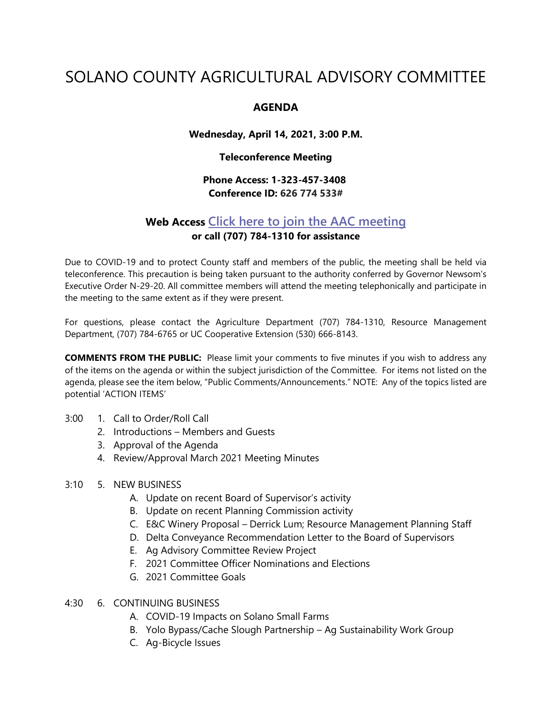# SOLANO COUNTY AGRICULTURAL ADVISORY COMMITTEE

## **AGENDA**

**Wednesday, April 14, 2021, 3:00 P.M.**

## **Teleconference Meeting**

# **Phone Access: 1-323-457-3408 Conference ID: 626 774 533#**

# **Web Access [Click here to join the AAC meeting](https://teams.microsoft.com/l/meetup-join/19%3ameeting_MDI1ZDEyYmItY2I4Zi00MWMxLWIxM2ItNzRiYmRmMWY5ZGNk%40thread.v2/0?context=%7b%22Tid%22%3a%225e7f20ac-e5f1-4f83-8c3b-ce44b8486421%22%2c%22Oid%22%3a%229b7e0b10-9feb-4114-92ef-db737a66fd13%22%7d) or call (707) 784-1310 for assistance**

Due to COVID-19 and to protect County staff and members of the public, the meeting shall be held via teleconference. This precaution is being taken pursuant to the authority conferred by Governor Newsom's Executive Order N-29-20. All committee members will attend the meeting telephonically and participate in the meeting to the same extent as if they were present.

For questions, please contact the Agriculture Department (707) 784-1310, Resource Management Department, (707) 784-6765 or UC Cooperative Extension (530) 666-8143.

**COMMENTS FROM THE PUBLIC:** Please limit your comments to five minutes if you wish to address any of the items on the agenda or within the subject jurisdiction of the Committee. For items not listed on the agenda, please see the item below, "Public Comments/Announcements." NOTE: Any of the topics listed are potential 'ACTION ITEMS'

- 3:00 1. Call to Order/Roll Call
	- 2. Introductions Members and Guests
	- 3. Approval of the Agenda
	- 4. Review/Approval March 2021 Meeting Minutes

### 3:10 5. NEW BUSINESS

- A. Update on recent Board of Supervisor's activity
- B. Update on recent Planning Commission activity
- C. E&C Winery Proposal Derrick Lum; Resource Management Planning Staff
- D. Delta Conveyance Recommendation Letter to the Board of Supervisors
- E. Ag Advisory Committee Review Project
- F. 2021 Committee Officer Nominations and Elections
- G. 2021 Committee Goals

### 4:30 6. CONTINUING BUSINESS

- A. COVID-19 Impacts on Solano Small Farms
- B. Yolo Bypass/Cache Slough Partnership Ag Sustainability Work Group
- C. Ag-Bicycle Issues